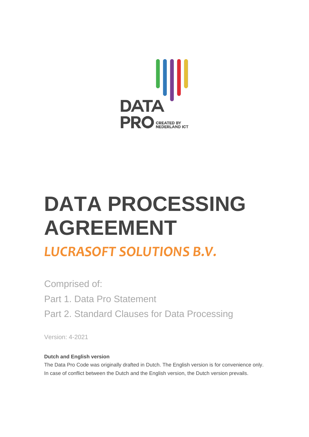

# **DATA PROCESSING AGREEMENT**

# *LUCRASOFT SOLUTIONS B.V.*

Comprised of: Part 1. Data Pro Statement Part 2. Standard Clauses for Data Processing

Version: 4-2021

# **Dutch and English version**

The Data Pro Code was originally drafted in Dutch. The English version is for convenience only. In case of conflict between the Dutch and the English version, the Dutch version prevails.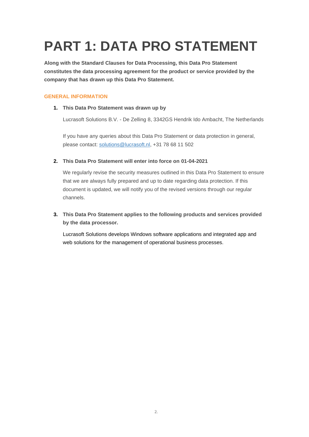# **PART 1: DATA PRO STATEMENT**

**Along with the Standard Clauses for Data Processing, this Data Pro Statement constitutes the data processing agreement for the product or service provided by the company that has drawn up this Data Pro Statement.**

### **GENERAL INFORMATION**

### **1. This Data Pro Statement was drawn up by**

Lucrasoft Solutions B.V. - De Zelling 8, 3342GS Hendrik Ido Ambacht, The Netherlands

If you have any queries about this Data Pro Statement or data protection in general, please contact: [solutions@lucrasoft.nl,](mailto:solutions@lucrasoft.nl) +31 78 68 11 502

### **2. This Data Pro Statement will enter into force on 01-04-2021**

We regularly revise the security measures outlined in this Data Pro Statement to ensure that we are always fully prepared and up to date regarding data protection. If this document is updated, we will notify you of the revised versions through our regular channels.

# **3. This Data Pro Statement applies to the following products and services provided by the data processor.**

Lucrasoft Solutions develops Windows software applications and integrated app and web solutions for the management of operational business processes.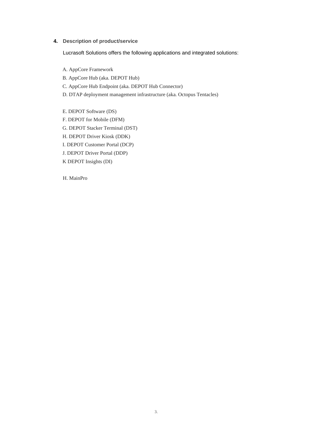#### **4. Description of product/service**

Lucrasoft Solutions offers the following applications and integrated solutions:

- A. AppCore Framework
- B. AppCore Hub (aka. DEPOT Hub)
- C. AppCore Hub Endpoint (aka. DEPOT Hub Connector)
- D. DTAP deployment management infrastructure (aka. Octopus Tentacles)
- E. DEPOT Software (DS)
- F. DEPOT for Mobile (DFM)
- G. DEPOT Stacker Terminal (DST)
- H. DEPOT Driver Kiosk (DDK)
- I. DEPOT Customer Portal (DCP)
- J. DEPOT Driver Portal (DDP)
- K DEPOT Insights (DI)

H. MainPro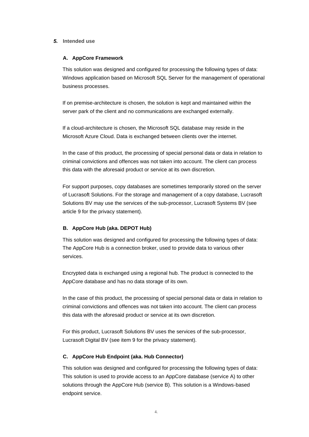#### *5.* **Intended use**

#### **A. AppCore Framework**

This solution was designed and configured for processing the following types of data: Windows application based on Microsoft SQL Server for the management of operational business processes.

If on premise-architecture is chosen, the solution is kept and maintained within the server park of the client and no communications are exchanged externally.

If a cloud-architecture is chosen, the Microsoft SQL database may reside in the Microsoft Azure Cloud. Data is exchanged between clients over the internet.

In the case of this product, the processing of special personal data or data in relation to criminal convictions and offences was not taken into account. The client can process this data with the aforesaid product or service at its own discretion.

For support purposes, copy databases are sometimes temporarily stored on the server of Lucrasoft Solutions. For the storage and management of a copy database, Lucrasoft Solutions BV may use the services of the sub-processor, Lucrasoft Systems BV (see article 9 for the privacy statement).

#### **B. AppCore Hub (aka. DEPOT Hub)**

This solution was designed and configured for processing the following types of data: The AppCore Hub is a connection broker, used to provide data to various other services.

Encrypted data is exchanged using a regional hub. The product is connected to the AppCore database and has no data storage of its own.

In the case of this product, the processing of special personal data or data in relation to criminal convictions and offences was not taken into account. The client can process this data with the aforesaid product or service at its own discretion.

For this product, Lucrasoft Solutions BV uses the services of the sub-processor, Lucrasoft Digital BV (see item 9 for the privacy statement).

#### **C. AppCore Hub Endpoint (aka. Hub Connector)**

This solution was designed and configured for processing the following types of data: This solution is used to provide access to an AppCore database (service A) to other solutions through the AppCore Hub (service B). This solution is a Windows-based endpoint service.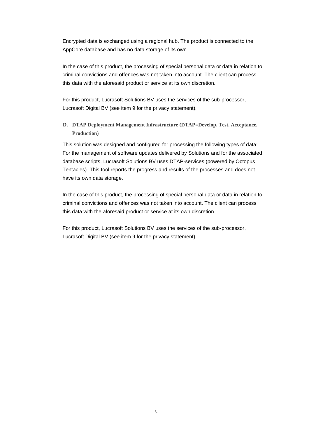Encrypted data is exchanged using a regional hub. The product is connected to the AppCore database and has no data storage of its own.

In the case of this product, the processing of special personal data or data in relation to criminal convictions and offences was not taken into account. The client can process this data with the aforesaid product or service at its own discretion.

For this product, Lucrasoft Solutions BV uses the services of the sub-processor, Lucrasoft Digital BV (see item 9 for the privacy statement).

**D. DTAP Deployment Management Infrastructure (DTAP=Develop, Test, Acceptance, Production)**

This solution was designed and configured for processing the following types of data: For the management of software updates delivered by Solutions and for the associated database scripts, Lucrasoft Solutions BV uses DTAP-services (powered by Octopus Tentacles). This tool reports the progress and results of the processes and does not have its own data storage.

In the case of this product, the processing of special personal data or data in relation to criminal convictions and offences was not taken into account. The client can process this data with the aforesaid product or service at its own discretion.

For this product, Lucrasoft Solutions BV uses the services of the sub-processor, Lucrasoft Digital BV (see item 9 for the privacy statement).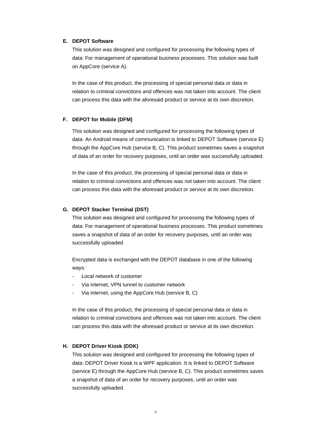#### **E. DEPOT Software**

This solution was designed and configured for processing the following types of data: For management of operational business processes. This solution was built on AppCore (service A).

In the case of this product, the processing of special personal data or data in relation to criminal convictions and offences was not taken into account. The client can process this data with the aforesaid product or service at its own discretion.

#### **F. DEPOT for Mobile (DFM)**

This solution was designed and configured for processing the following types of data: An Android means of communication is linked to DEPOT Software (service E) through the AppCore Hub (service B, C). This product sometimes saves a snapshot of data of an order for recovery purposes, until an order was successfully uploaded.

In the case of this product, the processing of special personal data or data in relation to criminal convictions and offences was not taken into account. The client can process this data with the aforesaid product or service at its own discretion.

#### **G. DEPOT Stacker Terminal (DST)**

This solution was designed and configured for processing the following types of data: For management of operational business processes. This product sometimes saves a snapshot of data of an order for recovery purposes, until an order was successfully uploaded.

Encrypted data is exchanged with the DEPOT database in one of the following ways:

- Local network of customer
- Via internet, VPN tunnel to customer network
- Via internet, using the AppCore Hub (service B, C)

In the case of this product, the processing of special personal data or data in relation to criminal convictions and offences was not taken into account. The client can process this data with the aforesaid product or service at its own discretion.

#### **H. DEPOT Driver Kiosk (DDK)**

This solution was designed and configured for processing the following types of data: DEPOT Driver Kiosk is a WPF application. It is linked to DEPOT Software (service E) through the AppCore Hub (service B, C). This product sometimes saves a snapshot of data of an order for recovery purposes, until an order was successfully uploaded.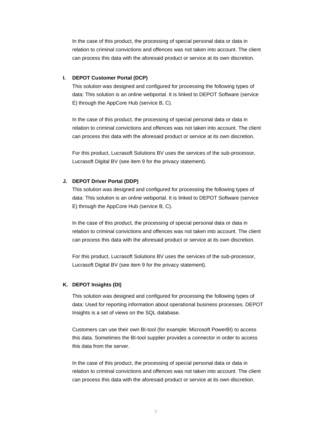In the case of this product, the processing of special personal data or data in relation to criminal convictions and offences was not taken into account. The client can process this data with the aforesaid product or service at its own discretion.

#### **I. DEPOT Customer Portal (DCP)**

This solution was designed and configured for processing the following types of data: This solution is an online webportal. It is linked to DEPOT Software (service E) through the AppCore Hub (service B, C).

In the case of this product, the processing of special personal data or data in relation to criminal convictions and offences was not taken into account. The client can process this data with the aforesaid product or service at its own discretion.

For this product, Lucrasoft Solutions BV uses the services of the sub-processor, Lucrasoft Digital BV (see item 9 for the privacy statement).

## **J. DEPOT Driver Portal (DDP)**

This solution was designed and configured for processing the following types of data: This solution is an online webportal. It is linked to DEPOT Software (service E) through the AppCore Hub (service B, C).

In the case of this product, the processing of special personal data or data in relation to criminal convictions and offences was not taken into account. The client can process this data with the aforesaid product or service at its own discretion.

For this product, Lucrasoft Solutions BV uses the services of the sub-processor, Lucrasoft Digital BV (see item 9 for the privacy statement).

#### **K. DEPOT Insights (DI)**

This solution was designed and configured for processing the following types of data: Used for reporting information about operational business processes. DEPOT Insights is a set of views on the SQL database.

Customers can use their own BI-tool (for example: Microsoft PowerBI) to access this data. Sometimes the BI-tool supplier provides a connector in order to access this data from the server.

In the case of this product, the processing of special personal data or data in relation to criminal convictions and offences was not taken into account. The client can process this data with the aforesaid product or service at its own discretion.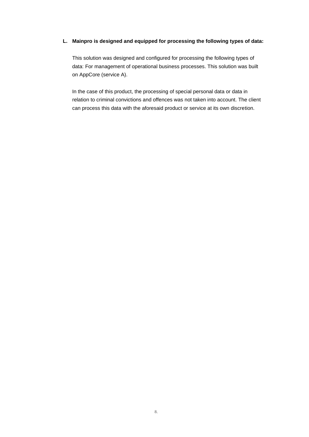#### **L. Mainpro is designed and equipped for processing the following types of data:**

This solution was designed and configured for processing the following types of data: For management of operational business processes. This solution was built on AppCore (service A).

In the case of this product, the processing of special personal data or data in relation to criminal convictions and offences was not taken into account. The client can process this data with the aforesaid product or service at its own discretion.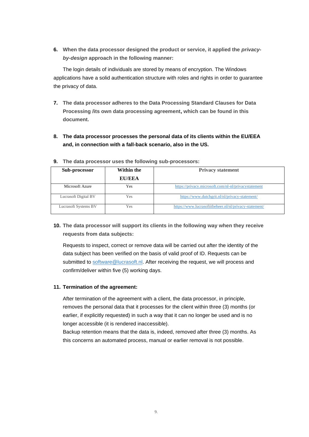**6.** When the data processor designed the product or service, it applied the *privacyby-design* **approach in the following manner:**

The login details of individuals are stored by means of encryption. The Windows applications have a solid authentication structure with roles and rights in order to guarantee the privacy of data.

- **7. The data processor adheres to the Data Processing Standard Clauses for Data Processing /its own data processing agreement, which can be found in this document.**
- **8. The data processor processes the personal data of its clients within the EU/EEA and, in connection with a fall-back scenario, also in the US.**

| <b>Sub-processor</b>        | Within the    | <b>Privacy statement</b>                               |
|-----------------------------|---------------|--------------------------------------------------------|
|                             | <b>EU/EEA</b> |                                                        |
| Microsoft Azure             | Yes           | https://privacy.microsoft.com/nl-nl/privacystatement   |
| Lucrasoft Digital BV        | Yes           | https://www.dutchgrit.nl/nl/privacy-statement/         |
| <b>Lucrasoft Systems BV</b> | Yes           | https://www.lucrasoftitbeheer.nl/nl/privacy-statement/ |

**9. The data processor uses the following sub-processors:**

**10. The data processor will support its clients in the following way when they receive requests from data subjects:**

Requests to inspect, correct or remove data will be carried out after the identity of the data subject has been verified on the basis of valid proof of ID. Requests can be submitted to [software@lucrasoft.nl.](mailto:software@lucrasoft.nl) After receiving the request, we will process and confirm/deliver within five (5) working days.

#### **11. Termination of the agreement:**

After termination of the agreement with a client, the data processor, in principle, removes the personal data that it processes for the client within three (3) months (or earlier, if explicitly requested) in such a way that it can no longer be used and is no longer accessible (it is rendered inaccessible).

Backup retention means that the data is, indeed, removed after three (3) months. As this concerns an automated process, manual or earlier removal is not possible.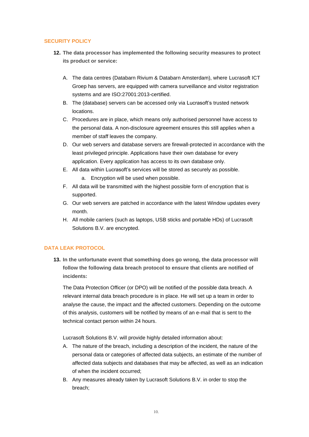### **SECURITY POLICY**

- **12. The data processor has implemented the following security measures to protect its product or service:**
	- A. The data centres (Databarn Rivium & Databarn Amsterdam), where Lucrasoft ICT Groep has servers, are equipped with camera surveillance and visitor registration systems and are ISO:27001:2013-certified.
	- B. The (database) servers can be accessed only via Lucrasoft's trusted network locations.
	- C. Procedures are in place, which means only authorised personnel have access to the personal data. A non-disclosure agreement ensures this still applies when a member of staff leaves the company.
	- D. Our web servers and database servers are firewall-protected in accordance with the least privileged principle. Applications have their own database for every application. Every application has access to its own database only.
	- E. All data within Lucrasoft's services will be stored as securely as possible.
		- a. Encryption will be used when possible.
	- F. All data will be transmitted with the highest possible form of encryption that is supported.
	- G. Our web servers are patched in accordance with the latest Window updates every month.
	- H. All mobile carriers (such as laptops, USB sticks and portable HDs) of Lucrasoft Solutions B.V. are encrypted.

#### **DATA LEAK PROTOCOL**

**13. In the unfortunate event that something does go wrong, the data processor will follow the following data breach protocol to ensure that clients are notified of incidents:**

The Data Protection Officer (or DPO) will be notified of the possible data breach. A relevant internal data breach procedure is in place. He will set up a team in order to analyse the cause, the impact and the affected customers. Depending on the outcome of this analysis, customers will be notified by means of an e-mail that is sent to the technical contact person within 24 hours.

Lucrasoft Solutions B.V. will provide highly detailed information about:

- A. The nature of the breach, including a description of the incident, the nature of the personal data or categories of affected data subjects, an estimate of the number of affected data subjects and databases that may be affected, as well as an indication of when the incident occurred;
- B. Any measures already taken by Lucrasoft Solutions B.V. in order to stop the breach;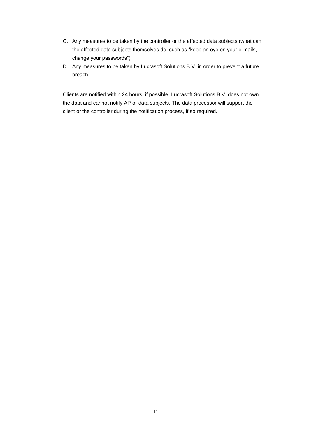- C. Any measures to be taken by the controller or the affected data subjects (what can the affected data subjects themselves do, such as "keep an eye on your e-mails, change your passwords");
- D. Any measures to be taken by Lucrasoft Solutions B.V. in order to prevent a future breach.

Clients are notified within 24 hours, if possible. Lucrasoft Solutions B.V. does not own the data and cannot notify AP or data subjects. The data processor will support the client or the controller during the notification process, if so required.